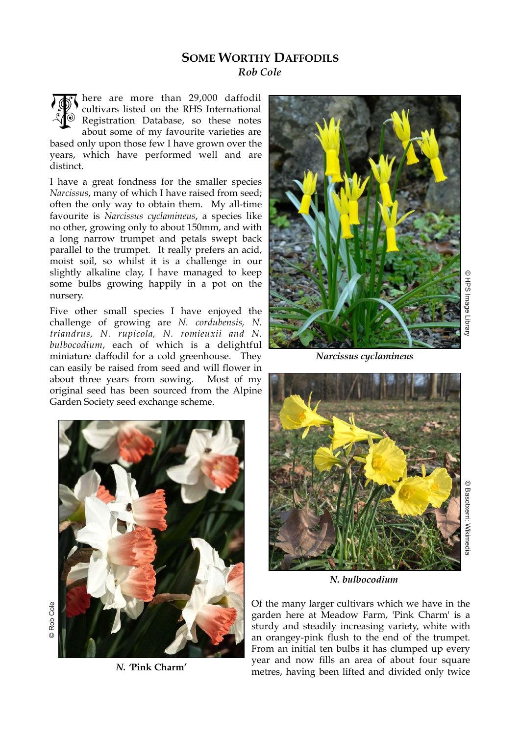## **SOME WORTHY DAFFODILS**

*Rob Cole* 

here are more than 29,000 daffodil cultivars listed on the RHS International Registration Database, so these notes about some of my favourite varieties are based only upon those few I have grown over the years, which have performed well and are distinct. TO

I have a great fondness for the smaller species *Narcissus*, many of which I have raised from seed; often the only way to obtain them. My all-time favourite is *Narcissus cyclamineus*, a species like no other, growing only to about 150mm, and with a long narrow trumpet and petals swept back parallel to the trumpet. It really prefers an acid, moist soil, so whilst it is a challenge in our slightly alkaline clay, I have managed to keep some bulbs growing happily in a pot on the nursery.

Five other small species I have enjoyed the challenge of growing are *N. cordubensis, N. triandrus, N. rupicola, N. romieuxii and N. bulbocodium*, each of which is a delightful miniature daffodil for a cold greenhouse. They can easily be raised from seed and will flower in about three years from sowing. Most of my original seed has been sourced from the Alpine Garden Society seed exchange scheme.



*N. '***Pink Charm'**



*Narcissus cyclamineus*



© Basotxerri: Wikimedi © Basotxerri: Wikimedia

*N. bulbocodium*

Of the many larger cultivars which we have in the garden here at Meadow Farm, 'Pink Charm' is a sturdy and steadily increasing variety, white with an orangey-pink flush to the end of the trumpet. From an initial ten bulbs it has clumped up every year and now fills an area of about four square metres, having been lifted and divided only twice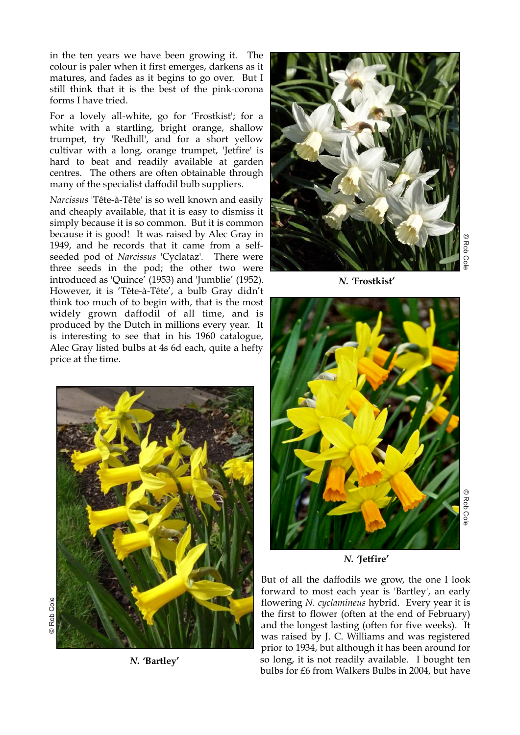in the ten years we have been growing it. The colour is paler when it first emerges, darkens as it matures, and fades as it begins to go over. But I still think that it is the best of the pink-corona forms I have tried.

For a lovely all-white, go for 'Frostkist'; for a white with a startling, bright orange, shallow trumpet, try 'Redhill', and for a short yellow cultivar with a long, orange trumpet, 'Jetfire' is hard to beat and readily available at garden centres. The others are often obtainable through many of the specialist daffodil bulb suppliers.

*Narcissus* 'Tête-à-Tête' is so well known and easily and cheaply available, that it is easy to dismiss it simply because it is so common. But it is common because it is good! It was raised by Alec Gray in 1949, and he records that it came from a selfseeded pod of *Narcissus* 'Cyclataz'*.* There were three seeds in the pod; the other two were introduced as 'Quince' (1953) and 'Jumblie' (1952). However, it is 'Tête-à-Tête', a bulb Gray didn't think too much of to begin with, that is the most widely grown daffodil of all time, and is produced by the Dutch in millions every year. It is interesting to see that in his 1960 catalogue, Alec Gray listed bulbs at 4s 6d each, quite a hefty price at the time.



*N. '***Bartley'**



© Rob Co

© Rob Cole





*N. '***Jetfire'**

But of all the daffodils we grow, the one I look forward to most each year is 'Bartley', an early flowering *N. cyclamineus* hybrid. Every year it is the first to flower (often at the end of February) and the longest lasting (often for five weeks). It was raised by J. C. Williams and was registered prior to 1934, but although it has been around for so long, it is not readily available. I bought ten bulbs for £6 from Walkers Bulbs in 2004, but have